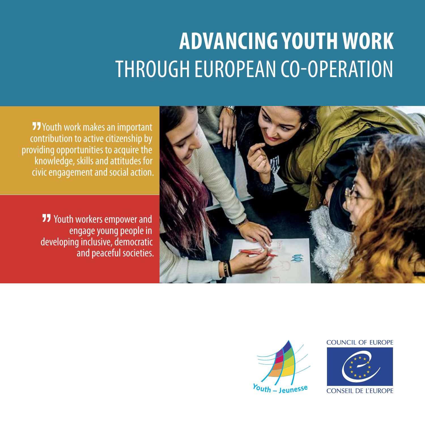## **ADVANCING YOUTH WORK**  THROUGH EUROPEAN CO-OPERATION

**JJ** Youth work makes an important contribution to active citizenship by providing opportunities to acquire the knowledge, skills and attitudes for civic engagement and social action.

> **77** Youth workers empower and engage young people in developing inclusive, democratic and peaceful societies.





## COUNCIL OF FUROPE



**CONSEIL DE L'EUROPE**